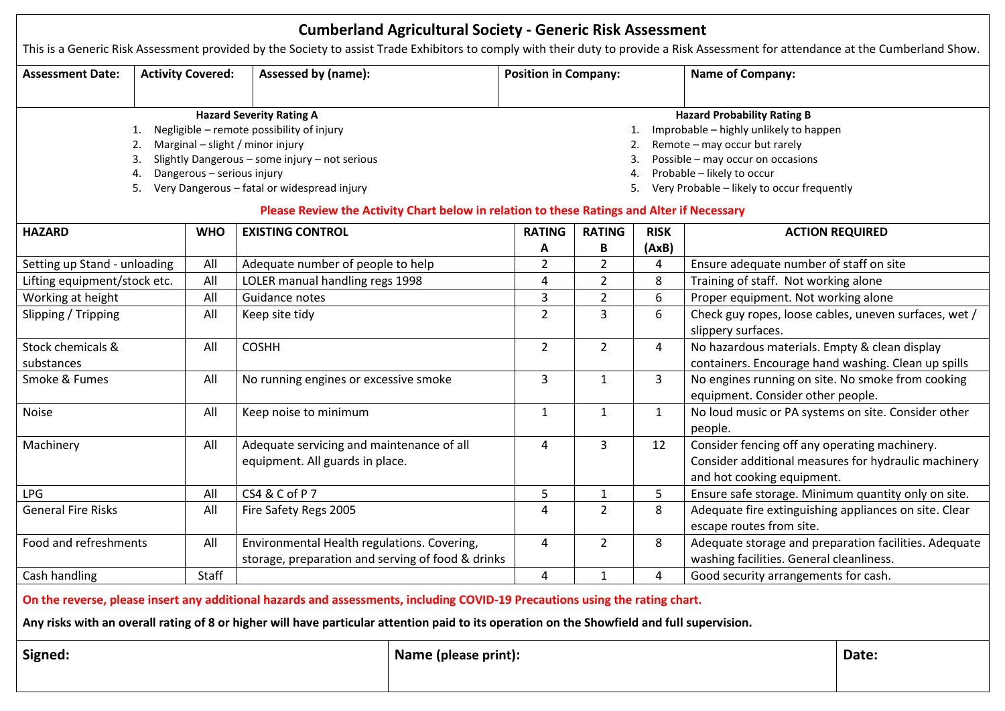| <b>Cumberland Agricultural Society - Generic Risk Assessment</b>                                                                                                                                                                                                                                                                                                                                                                                                                                    |                          |            |                                                                                                  |                      |                             |                    |                      |                                                                                                                                                                                    |                        |  |  |  |
|-----------------------------------------------------------------------------------------------------------------------------------------------------------------------------------------------------------------------------------------------------------------------------------------------------------------------------------------------------------------------------------------------------------------------------------------------------------------------------------------------------|--------------------------|------------|--------------------------------------------------------------------------------------------------|----------------------|-----------------------------|--------------------|----------------------|------------------------------------------------------------------------------------------------------------------------------------------------------------------------------------|------------------------|--|--|--|
|                                                                                                                                                                                                                                                                                                                                                                                                                                                                                                     |                          |            |                                                                                                  |                      |                             |                    |                      | This is a Generic Risk Assessment provided by the Society to assist Trade Exhibitors to comply with their duty to provide a Risk Assessment for attendance at the Cumberland Show. |                        |  |  |  |
| <b>Assessment Date:</b>                                                                                                                                                                                                                                                                                                                                                                                                                                                                             | <b>Activity Covered:</b> |            | Assessed by (name):                                                                              |                      | <b>Position in Company:</b> |                    |                      | <b>Name of Company:</b>                                                                                                                                                            |                        |  |  |  |
| <b>Hazard Severity Rating A</b><br><b>Hazard Probability Rating B</b><br>Negligible - remote possibility of injury<br>Improbable - highly unlikely to happen<br>Remote - may occur but rarely<br>Marginal - slight / minor injury<br>Slightly Dangerous - some injury - not serious<br>Possible - may occur on occasions<br>Probable - likely to occur<br>Dangerous - serious injury<br>4.<br>Very Dangerous - fatal or widespread injury<br>Very Probable - likely to occur frequently<br>5.<br>5. |                          |            |                                                                                                  |                      |                             |                    |                      |                                                                                                                                                                                    |                        |  |  |  |
| Please Review the Activity Chart below in relation to these Ratings and Alter if Necessary                                                                                                                                                                                                                                                                                                                                                                                                          |                          |            |                                                                                                  |                      |                             |                    |                      |                                                                                                                                                                                    |                        |  |  |  |
| <b>HAZARD</b>                                                                                                                                                                                                                                                                                                                                                                                                                                                                                       |                          | <b>WHO</b> | <b>EXISTING CONTROL</b>                                                                          |                      | <b>RATING</b><br>Α          | <b>RATING</b><br>B | <b>RISK</b><br>(AxB) |                                                                                                                                                                                    | <b>ACTION REQUIRED</b> |  |  |  |
| Setting up Stand - unloading                                                                                                                                                                                                                                                                                                                                                                                                                                                                        |                          | All        | Adequate number of people to help                                                                |                      | $\overline{2}$              | $\overline{2}$     | 4                    | Ensure adequate number of staff on site                                                                                                                                            |                        |  |  |  |
| Lifting equipment/stock etc.                                                                                                                                                                                                                                                                                                                                                                                                                                                                        |                          | All        | LOLER manual handling regs 1998                                                                  |                      | 4                           | $\overline{2}$     | 8                    | Training of staff. Not working alone                                                                                                                                               |                        |  |  |  |
| Working at height                                                                                                                                                                                                                                                                                                                                                                                                                                                                                   |                          | All        | Guidance notes                                                                                   |                      | 3                           | $\overline{2}$     | 6                    | Proper equipment. Not working alone                                                                                                                                                |                        |  |  |  |
| Slipping / Tripping                                                                                                                                                                                                                                                                                                                                                                                                                                                                                 |                          | All        | Keep site tidy                                                                                   |                      | $\overline{2}$              | 3                  | 6                    | Check guy ropes, loose cables, uneven surfaces, wet /<br>slippery surfaces.                                                                                                        |                        |  |  |  |
| Stock chemicals &<br>substances                                                                                                                                                                                                                                                                                                                                                                                                                                                                     |                          | All        | <b>COSHH</b>                                                                                     |                      | $\overline{2}$              | $\overline{2}$     | 4                    | No hazardous materials. Empty & clean display<br>containers. Encourage hand washing. Clean up spills                                                                               |                        |  |  |  |
| Smoke & Fumes                                                                                                                                                                                                                                                                                                                                                                                                                                                                                       |                          | All        | No running engines or excessive smoke                                                            |                      | 3                           | $\mathbf{1}$       | 3                    | No engines running on site. No smoke from cooking<br>equipment. Consider other people.                                                                                             |                        |  |  |  |
| Noise                                                                                                                                                                                                                                                                                                                                                                                                                                                                                               |                          | All        | Keep noise to minimum                                                                            |                      | $\mathbf{1}$                | $\mathbf{1}$       | $\mathbf{1}$         | No loud music or PA systems on site. Consider other<br>people.                                                                                                                     |                        |  |  |  |
| Machinery                                                                                                                                                                                                                                                                                                                                                                                                                                                                                           |                          | All        | Adequate servicing and maintenance of all<br>equipment. All guards in place.                     |                      | 4                           | 3                  | 12                   | Consider fencing off any operating machinery.<br>Consider additional measures for hydraulic machinery<br>and hot cooking equipment.                                                |                        |  |  |  |
| <b>LPG</b>                                                                                                                                                                                                                                                                                                                                                                                                                                                                                          |                          | All        | CS4 & C of P 7                                                                                   |                      | 5                           | $\mathbf{1}$       | 5                    | Ensure safe storage. Minimum quantity only on site.                                                                                                                                |                        |  |  |  |
| <b>General Fire Risks</b>                                                                                                                                                                                                                                                                                                                                                                                                                                                                           |                          | All        | Fire Safety Regs 2005                                                                            |                      | 4                           | $\overline{2}$     | 8                    | Adequate fire extinguishing appliances on site. Clear<br>escape routes from site.                                                                                                  |                        |  |  |  |
| Food and refreshments                                                                                                                                                                                                                                                                                                                                                                                                                                                                               |                          | All        | Environmental Health regulations. Covering,<br>storage, preparation and serving of food & drinks |                      | 4                           | $\overline{2}$     | 8                    | Adequate storage and preparation facilities. Adequate<br>washing facilities. General cleanliness.                                                                                  |                        |  |  |  |
| Cash handling                                                                                                                                                                                                                                                                                                                                                                                                                                                                                       |                          | Staff      |                                                                                                  |                      | 4                           | 1                  | 4                    | Good security arrangements for cash.                                                                                                                                               |                        |  |  |  |
| On the reverse, please insert any additional hazards and assessments, including COVID-19 Precautions using the rating chart.<br>Any risks with an overall rating of 8 or higher will have particular attention paid to its operation on the Showfield and full supervision.                                                                                                                                                                                                                         |                          |            |                                                                                                  |                      |                             |                    |                      |                                                                                                                                                                                    |                        |  |  |  |
| Signed:                                                                                                                                                                                                                                                                                                                                                                                                                                                                                             |                          |            |                                                                                                  | Name (please print): |                             |                    |                      | Date:                                                                                                                                                                              |                        |  |  |  |
|                                                                                                                                                                                                                                                                                                                                                                                                                                                                                                     |                          |            |                                                                                                  |                      |                             |                    |                      |                                                                                                                                                                                    |                        |  |  |  |